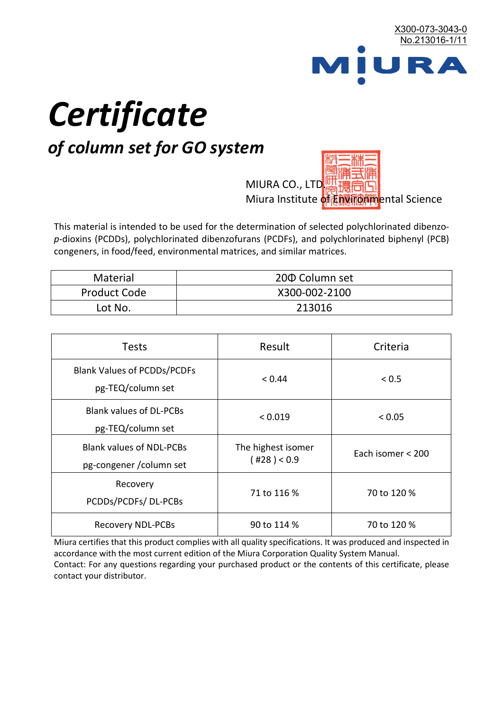

# *Certificate*

# *of column set for GO system*

MIURA CO., LTD. Miura Institute of 正版而解ental Science

This material is intended to be used for the determination of selected polychlorinated dibenzo*p*-dioxins (PCDDs), polychlorinated dibenzofurans (PCDFs), and polychlorinated biphenyl (PCB) congeners, in food/feed, environmental matrices, and similar matrices.

| <b>Material</b>     | 200 Column set |  |
|---------------------|----------------|--|
| <b>Product Code</b> | X300-002-2100  |  |
| Lot No.             | 213016         |  |

| <b>Tests</b>                                                | Result                            | Criteria          |  |
|-------------------------------------------------------------|-----------------------------------|-------------------|--|
| <b>Blank Values of PCDDs/PCDFs</b><br>pg-TEQ/column set     | < 0.44                            | < 0.5             |  |
| <b>Blank values of DL-PCBs</b><br>pg-TEQ/column set         | < 0.019                           | < 0.05            |  |
| <b>Blank values of NDL-PCBs</b><br>pg-congener / column set | The highest isomer<br>(428) < 0.9 | Each isomer < 200 |  |
| Recovery<br>PCDDs/PCDFs/DL-PCBs                             | 71 to 116 %                       | 70 to 120 %       |  |
| <b>Recovery NDL-PCBs</b>                                    | 90 to 114 %                       | 70 to 120 %       |  |

Miura certifies that this product complies with all quality specifications. It was produced and inspected in accordance with the most current edition of the Miura Corporation Quality System Manual. Contact: For any questions regarding your purchased product or the contents of this certificate, please contact your distributor.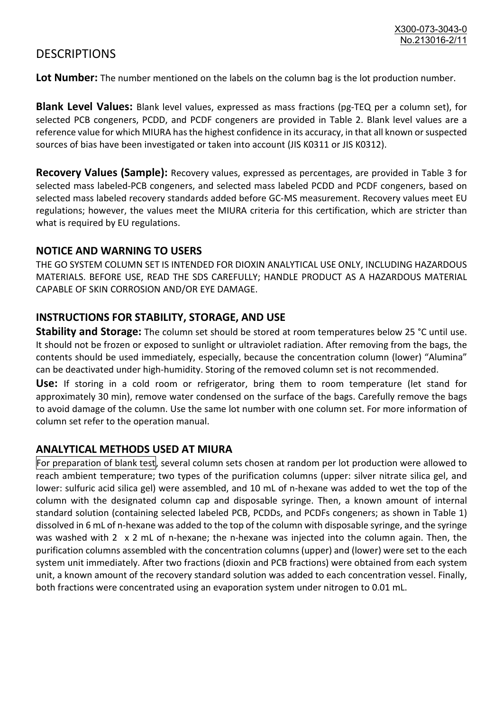## **DESCRIPTIONS**

**Lot Number:** The number mentioned on the labels on the column bag is the lot production number.

**Blank Level Values:** Blank level values, expressed as mass fractions (pg-TEQ per a column set), for selected PCB congeners, PCDD, and PCDF congeners are provided in Table 2. Blank level values are a reference value for which MIURA has the highest confidence in its accuracy, in that all known or suspected sources of bias have been investigated or taken into account (JIS K0311 or JIS K0312).

**Recovery Values (Sample):** Recovery values, expressed as percentages, are provided in Table 3 for selected mass labeled-PCB congeners, and selected mass labeled PCDD and PCDF congeners, based on selected mass labeled recovery standards added before GC-MS measurement. Recovery values meet EU regulations; however, the values meet the MIURA criteria for this certification, which are stricter than what is required by EU regulations.

#### **NOTICE AND WARNING TO USERS**

THE GO SYSTEM COLUMN SET IS INTENDED FOR DIOXIN ANALYTICAL USE ONLY, INCLUDING HAZARDOUS MATERIALS. BEFORE USE, READ THE SDS CAREFULLY; HANDLE PRODUCT AS A HAZARDOUS MATERIAL CAPABLE OF SKIN CORROSION AND/OR EYE DAMAGE.

#### **INSTRUCTIONS FOR STABILITY, STORAGE, AND USE**

**Stability and Storage:** The column set should be stored at room temperatures below 25 °C until use. It should not be frozen or exposed to sunlight or ultraviolet radiation. After removing from the bags, the contents should be used immediately, especially, because the concentration column (lower) "Alumina" can be deactivated under high-humidity. Storing of the removed column set is not recommended.

**Use:** If storing in a cold room or refrigerator, bring them to room temperature (let stand for approximately 30 min), remove water condensed on the surface of the bags. Carefully remove the bags to avoid damage of the column. Use the same lot number with one column set. For more information of column set refer to the operation manual.

### **ANALYTICAL METHODS USED AT MIURA**

For preparation of blank test, several column sets chosen at random per lot production were allowed to reach ambient temperature; two types of the purification columns (upper: silver nitrate silica gel, and lower: sulfuric acid silica gel) were assembled, and 10 mL of n-hexane was added to wet the top of the column with the designated column cap and disposable syringe. Then, a known amount of internal standard solution (containing selected labeled PCB, PCDDs, and PCDFs congeners; as shown in Table 1) dissolved in 6 mL of n-hexane was added to the top of the column with disposable syringe, and the syringe was washed with 2 x 2 mL of n-hexane; the n-hexane was injected into the column again. Then, the purification columns assembled with the concentration columns (upper) and (lower) were set to the each system unit immediately. After two fractions (dioxin and PCB fractions) were obtained from each system unit, a known amount of the recovery standard solution was added to each concentration vessel. Finally, both fractions were concentrated using an evaporation system under nitrogen to 0.01 mL.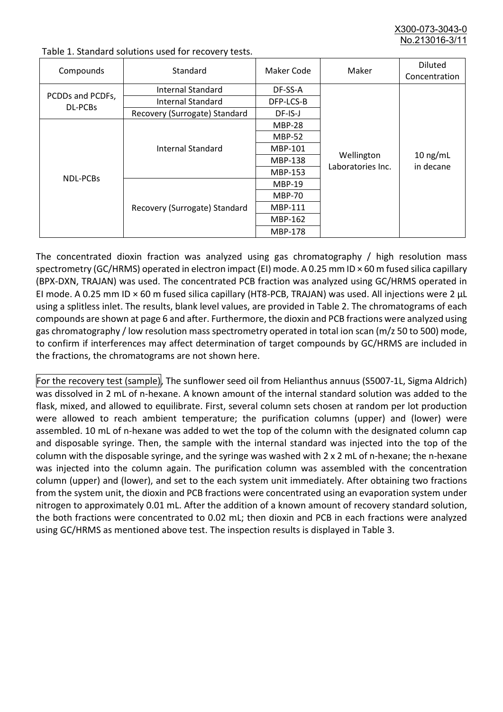X300-073-3043-0 No.213016-3/11

| Compounds                   | Standard                      | Maker Code     | Maker                           | <b>Diluted</b><br>Concentration |
|-----------------------------|-------------------------------|----------------|---------------------------------|---------------------------------|
| PCDDs and PCDFs,<br>DL-PCBs | Internal Standard             | DF-SS-A        |                                 | $10$ ng/mL<br>in decane         |
|                             | <b>Internal Standard</b>      | DFP-LCS-B      |                                 |                                 |
|                             | Recovery (Surrogate) Standard | DF-IS-J        |                                 |                                 |
| NDL-PCBs                    | Internal Standard             | <b>MBP-28</b>  | Wellington<br>Laboratories Inc. |                                 |
|                             |                               | <b>MBP-52</b>  |                                 |                                 |
|                             |                               | MBP-101        |                                 |                                 |
|                             |                               | <b>MBP-138</b> |                                 |                                 |
|                             |                               | MBP-153        |                                 |                                 |
|                             | Recovery (Surrogate) Standard | <b>MBP-19</b>  |                                 |                                 |
|                             |                               | <b>MBP-70</b>  |                                 |                                 |
|                             |                               | <b>MBP-111</b> |                                 |                                 |
|                             |                               | MBP-162        |                                 |                                 |
|                             |                               | <b>MBP-178</b> |                                 |                                 |

Table 1. Standard solutions used for recovery tests.

The concentrated dioxin fraction was analyzed using gas chromatography / high resolution mass spectrometry (GC/HRMS) operated in electron impact (EI) mode. A 0.25 mm ID × 60 m fused silica capillary (BPX-DXN, TRAJAN) was used. The concentrated PCB fraction was analyzed using GC/HRMS operated in EI mode. A 0.25 mm ID × 60 m fused silica capillary (HT8-PCB, TRAJAN) was used. All injections were 2 μL using a splitless inlet. The results, blank level values, are provided in Table 2. The chromatograms of each compounds are shown at page 6 and after. Furthermore, the dioxin and PCB fractions were analyzed using gas chromatography / low resolution mass spectrometry operated in total ion scan (m/z 50 to 500) mode, to confirm if interferences may affect determination of target compounds by GC/HRMS are included in the fractions, the chromatograms are not shown here.

For the recovery test (sample), The sunflower seed oil from Helianthus annuus (S5007-1L, Sigma Aldrich) was dissolved in 2 mL of n-hexane. A known amount of the internal standard solution was added to the flask, mixed, and allowed to equilibrate. First, several column sets chosen at random per lot production were allowed to reach ambient temperature; the purification columns (upper) and (lower) were assembled. 10 mL of n-hexane was added to wet the top of the column with the designated column cap and disposable syringe. Then, the sample with the internal standard was injected into the top of the column with the disposable syringe, and the syringe was washed with 2 x 2 mL of n-hexane; the n-hexane was injected into the column again. The purification column was assembled with the concentration column (upper) and (lower), and set to the each system unit immediately. After obtaining two fractions from the system unit, the dioxin and PCB fractions were concentrated using an evaporation system under nitrogen to approximately 0.01 mL. After the addition of a known amount of recovery standard solution, the both fractions were concentrated to 0.02 mL; then dioxin and PCB in each fractions were analyzed using GC/HRMS as mentioned above test. The inspection results is displayed in Table 3.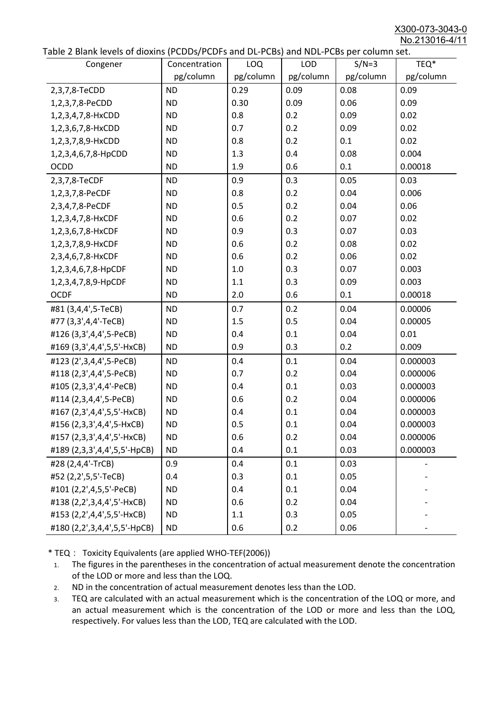X300-073-3043-0 No.213016-4/11

|  |  | Table 2 Blank levels of dioxins (PCDDs/PCDFs and DL-PCBs) and NDL-PCBs per column set. |
|--|--|----------------------------------------------------------------------------------------|
|--|--|----------------------------------------------------------------------------------------|

| able 2 Diarik levels of dioxins (FCDD3/FCDF3 and DL-FCD3) and NDL-FCD3 per column set.<br>Congener | Concentration | LOQ       | <b>LOD</b> | $S/N=3$   | TEQ*      |
|----------------------------------------------------------------------------------------------------|---------------|-----------|------------|-----------|-----------|
|                                                                                                    | pg/column     | pg/column | pg/column  | pg/column | pg/column |
| 2,3,7,8-TeCDD                                                                                      | <b>ND</b>     | 0.29      | 0.09       | 0.08      | 0.09      |
| 1,2,3,7,8-PeCDD                                                                                    | <b>ND</b>     | 0.30      | 0.09       | 0.06      | 0.09      |
| 1,2,3,4,7,8-HxCDD                                                                                  | <b>ND</b>     | 0.8       | 0.2        | 0.09      | 0.02      |
| 1,2,3,6,7,8-HxCDD                                                                                  | <b>ND</b>     | 0.7       | 0.2        | 0.09      | 0.02      |
| 1,2,3,7,8,9-HxCDD                                                                                  | <b>ND</b>     | 0.8       | 0.2        | 0.1       | 0.02      |
| 1,2,3,4,6,7,8-HpCDD                                                                                | <b>ND</b>     | 1.3       | 0.4        | 0.08      | 0.004     |
| <b>OCDD</b>                                                                                        | <b>ND</b>     | 1.9       | 0.6        | 0.1       | 0.00018   |
| 2,3,7,8-TeCDF                                                                                      | <b>ND</b>     | 0.9       | 0.3        | 0.05      | 0.03      |
| 1,2,3,7,8-PeCDF                                                                                    | <b>ND</b>     | 0.8       | 0.2        | 0.04      | 0.006     |
| 2,3,4,7,8-PeCDF                                                                                    | <b>ND</b>     | 0.5       | 0.2        | 0.04      | 0.06      |
| 1,2,3,4,7,8-HxCDF                                                                                  | <b>ND</b>     | 0.6       | 0.2        | 0.07      | 0.02      |
| 1,2,3,6,7,8-HxCDF                                                                                  | <b>ND</b>     | 0.9       | 0.3        | 0.07      | 0.03      |
| 1,2,3,7,8,9-HxCDF                                                                                  | <b>ND</b>     | 0.6       | 0.2        | 0.08      | 0.02      |
| 2,3,4,6,7,8-HxCDF                                                                                  | <b>ND</b>     | 0.6       | 0.2        | 0.06      | 0.02      |
| 1,2,3,4,6,7,8-HpCDF                                                                                | <b>ND</b>     | 1.0       | 0.3        | 0.07      | 0.003     |
| 1,2,3,4,7,8,9-HpCDF                                                                                | <b>ND</b>     | 1.1       | 0.3        | 0.09      | 0.003     |
| <b>OCDF</b>                                                                                        | <b>ND</b>     | 2.0       | 0.6        | 0.1       | 0.00018   |
| #81 (3,4,4',5-TeCB)                                                                                | <b>ND</b>     | 0.7       | 0.2        | 0.04      | 0.00006   |
| #77 (3,3',4,4'-TeCB)                                                                               | <b>ND</b>     | 1.5       | 0.5        | 0.04      | 0.00005   |
| #126 (3,3',4,4',5-PeCB)                                                                            | <b>ND</b>     | 0.4       | 0.1        | 0.04      | 0.01      |
| #169 (3,3',4,4',5,5'-HxCB)                                                                         | <b>ND</b>     | 0.9       | 0.3        | 0.2       | 0.009     |
| #123 (2',3,4,4',5-PeCB)                                                                            | <b>ND</b>     | 0.4       | 0.1        | 0.04      | 0.000003  |
| #118 (2,3',4,4',5-PeCB)                                                                            | <b>ND</b>     | 0.7       | 0.2        | 0.04      | 0.000006  |
| #105 (2,3,3',4,4'-PeCB)                                                                            | <b>ND</b>     | 0.4       | 0.1        | 0.03      | 0.000003  |
| #114 (2,3,4,4',5-PeCB)                                                                             | <b>ND</b>     | 0.6       | 0.2        | 0.04      | 0.000006  |
| #167 (2,3',4,4',5,5'-HxCB)                                                                         | <b>ND</b>     | 0.4       | 0.1        | 0.04      | 0.000003  |
| #156 (2,3,3',4,4',5-HxCB)                                                                          | <b>ND</b>     | 0.5       | 0.1        | 0.04      | 0.000003  |
| #157 (2,3,3',4,4',5'-HxCB)                                                                         | <b>ND</b>     | 0.6       | 0.2        | 0.04      | 0.000006  |
| #189 (2,3,3',4,4',5,5'-HpCB)                                                                       | <b>ND</b>     | 0.4       | 0.1        | 0.03      | 0.000003  |
| #28 (2,4,4'-TrCB)                                                                                  | 0.9           | 0.4       | 0.1        | 0.03      |           |
| #52 (2,2',5,5'-TeCB)                                                                               | 0.4           | 0.3       | 0.1        | 0.05      |           |
| #101 (2,2',4,5,5'-PeCB)                                                                            | <b>ND</b>     | 0.4       | 0.1        | 0.04      |           |
| #138 (2,2',3,4,4',5'-HxCB)                                                                         | <b>ND</b>     | 0.6       | 0.2        | 0.04      |           |
| #153 (2,2',4,4',5,5'-HxCB)                                                                         | <b>ND</b>     | 1.1       | 0.3        | 0.05      |           |
| #180 (2,2',3,4,4',5,5'-HpCB)                                                                       | <b>ND</b>     | 0.6       | 0.2        | 0.06      |           |

\* TEQ: Toxicity Equivalents (are applied WHO-TEF(2006))

- 1. The figures in the parentheses in the concentration of actual measurement denote the concentration of the LOD or more and less than the LOQ.
- 2. ND in the concentration of actual measurement denotes less than the LOD.
- 3. TEQ are calculated with an actual measurement which is the concentration of the LOQ or more, and an actual measurement which is the concentration of the LOD or more and less than the LOQ, respectively. For values less than the LOD, TEQ are calculated with the LOD.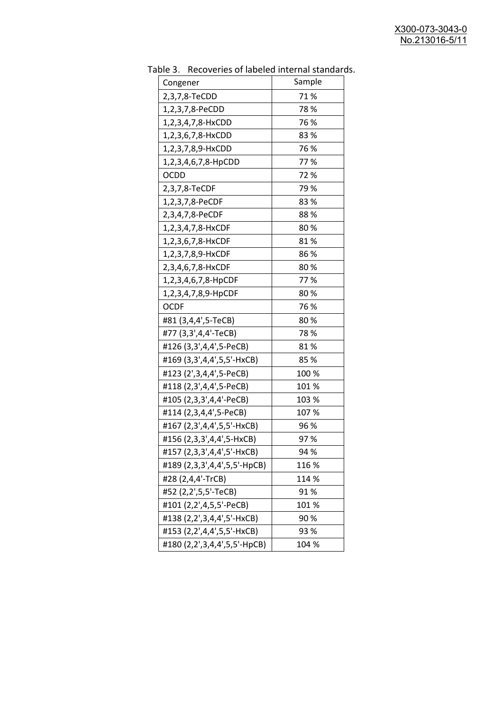| able 5. Include fies of fabeled internal standard |        |
|---------------------------------------------------|--------|
| Congener                                          | Sample |
| 2,3,7,8-TeCDD                                     | 71%    |
| 1,2,3,7,8-PeCDD                                   | 78%    |
| 1,2,3,4,7,8-HxCDD                                 | 76 %   |
| 1,2,3,6,7,8-HxCDD                                 | 83%    |
| 1,2,3,7,8,9-HxCDD                                 | 76 %   |
| 1,2,3,4,6,7,8-HpCDD                               | 77%    |
| <b>OCDD</b>                                       | 72%    |
| 2,3,7,8-TeCDF                                     | 79%    |
| 1,2,3,7,8-PeCDF                                   | 83%    |
| 2,3,4,7,8-PeCDF                                   | 88%    |
| 1,2,3,4,7,8-HxCDF                                 | 80%    |
| 1,2,3,6,7,8-HxCDF                                 | 81%    |
| 1,2,3,7,8,9-HxCDF                                 | 86 %   |
| 2,3,4,6,7,8-HxCDF                                 | 80%    |
| 1,2,3,4,6,7,8-HpCDF                               | 77%    |
| 1,2,3,4,7,8,9-HpCDF                               | 80%    |
| <b>OCDF</b>                                       | 76 %   |
| #81 (3,4,4',5-TeCB)                               | 80%    |
| #77 (3,3',4,4'-TeCB)                              | 78%    |
| #126 (3,3',4,4',5-PeCB)                           | 81%    |
| #169 (3,3',4,4',5,5'-HxCB)                        | 85%    |
| #123 (2',3,4,4',5-PeCB)                           | 100 %  |
| #118 (2,3',4,4',5-PeCB)                           | 101%   |
| #105 (2,3,3',4,4'-PeCB)                           | 103 %  |
| #114 (2,3,4,4',5-PeCB)                            | 107 %  |
| #167 (2,3',4,4',5,5'-HxCB)                        | 96 %   |
| #156 (2,3,3',4,4',5-HxCB)                         | 97%    |
| #157 (2,3,3',4,4',5'-HxCB)                        | 94 %   |
| #189 (2,3,3',4,4',5,5'-HpCB)                      | 116 %  |
| #28 (2,4,4'-TrCB)                                 | 114 %  |
| #52 (2,2',5,5'-TeCB)                              | 91%    |
| #101 (2,2',4,5,5'-PeCB)                           | 101%   |
| #138 (2,2',3,4,4',5'-HxCB)                        | 90%    |
| #153 (2,2',4,4',5,5'-HxCB)                        | 93 %   |
| #180 (2,2',3,4,4',5,5'-HpCB)                      | 104 %  |

Table 3. Recoveries of labeled internal standards.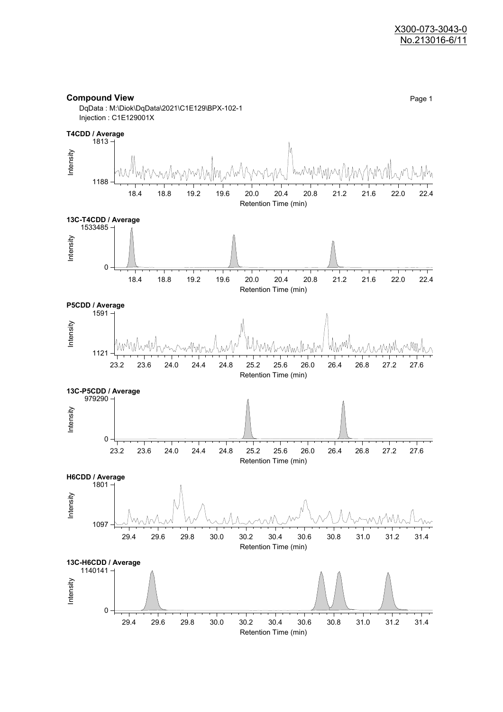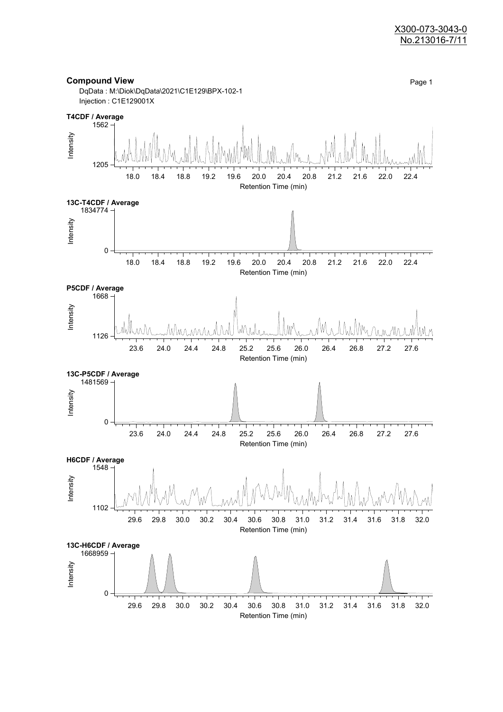#### X300-073-3043-0 No.213016-7/11

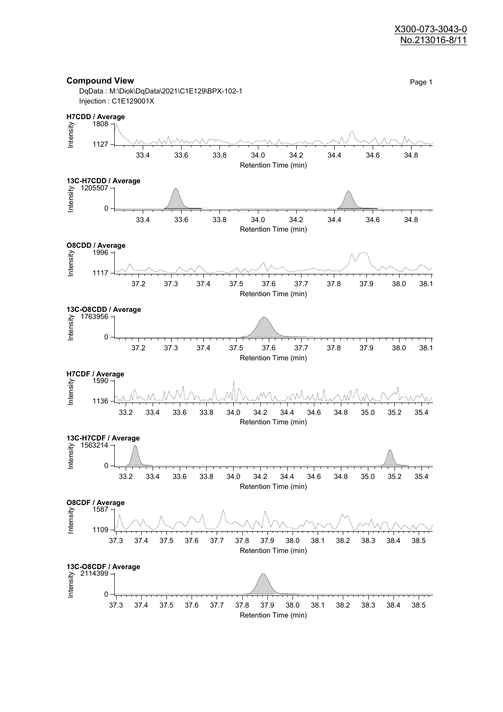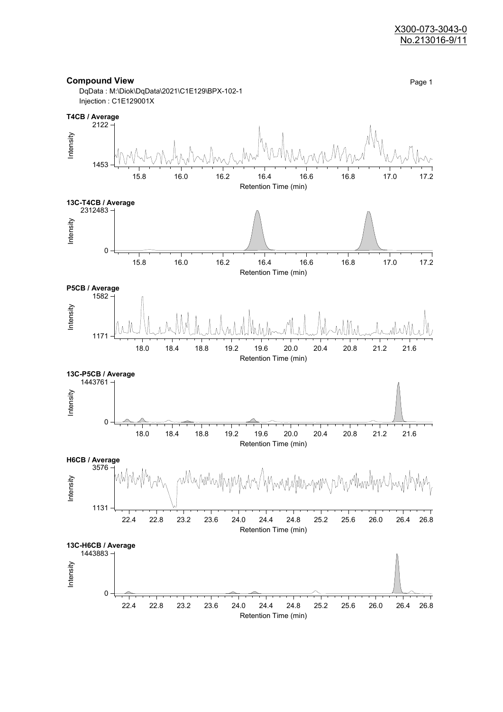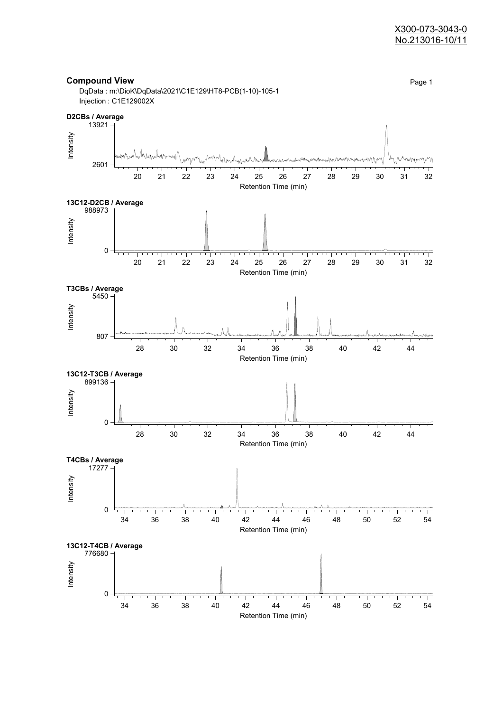